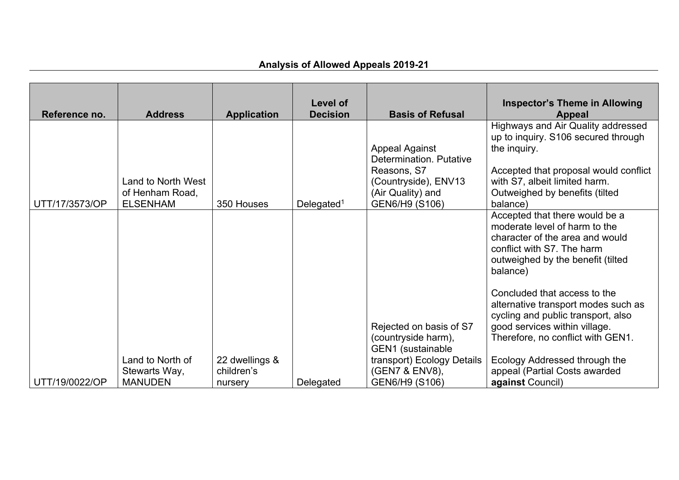|                |                                                                 |                    | Level of               |                                                                                                                                | <b>Inspector's Theme in Allowing</b>                                                                                                                                                                              |
|----------------|-----------------------------------------------------------------|--------------------|------------------------|--------------------------------------------------------------------------------------------------------------------------------|-------------------------------------------------------------------------------------------------------------------------------------------------------------------------------------------------------------------|
| Reference no.  | <b>Address</b>                                                  | <b>Application</b> | <b>Decision</b>        | <b>Basis of Refusal</b>                                                                                                        | <b>Appeal</b>                                                                                                                                                                                                     |
| UTT/17/3573/OP | <b>Land to North West</b><br>of Henham Road,<br><b>ELSENHAM</b> | 350 Houses         | Delegated <sup>1</sup> | <b>Appeal Against</b><br>Determination. Putative<br>Reasons, S7<br>(Countryside), ENV13<br>(Air Quality) and<br>GEN6/H9 (S106) | Highways and Air Quality addressed<br>up to inquiry. S106 secured through<br>the inquiry.<br>Accepted that proposal would conflict<br>with S7, albeit limited harm.<br>Outweighed by benefits (tilted<br>balance) |
|                |                                                                 |                    |                        |                                                                                                                                | Accepted that there would be a                                                                                                                                                                                    |
|                |                                                                 |                    |                        |                                                                                                                                | moderate level of harm to the<br>character of the area and would<br>conflict with S7. The harm<br>outweighed by the benefit (tilted<br>balance)                                                                   |
|                |                                                                 |                    |                        | Rejected on basis of S7<br>(countryside harm),                                                                                 | Concluded that access to the<br>alternative transport modes such as<br>cycling and public transport, also<br>good services within village.<br>Therefore, no conflict with GEN1.                                   |
|                |                                                                 |                    |                        | GEN1 (sustainable                                                                                                              |                                                                                                                                                                                                                   |
|                | Land to North of                                                | 22 dwellings &     |                        | transport) Ecology Details                                                                                                     | Ecology Addressed through the                                                                                                                                                                                     |
|                | Stewarts Way,                                                   | children's         |                        | (GEN7 & ENV8),                                                                                                                 | appeal (Partial Costs awarded                                                                                                                                                                                     |
| UTT/19/0022/OP | <b>MANUDEN</b>                                                  | nursery            | Delegated              | GEN6/H9 (S106)                                                                                                                 | <b>against Council)</b>                                                                                                                                                                                           |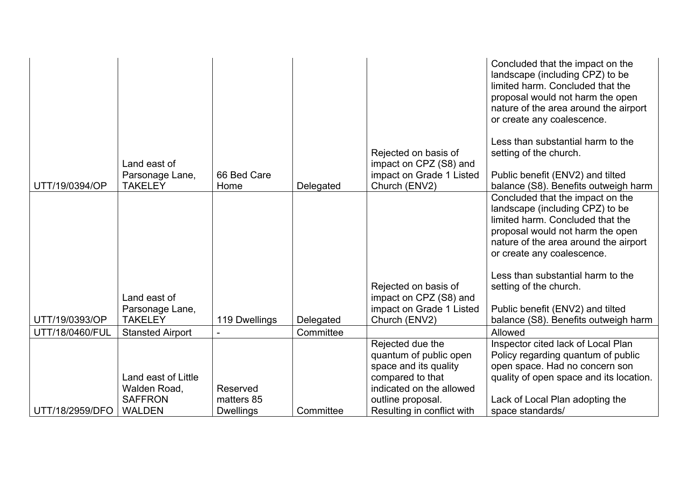|                 | Land east of                                                                     |                        |           | Rejected on basis of<br>impact on CPZ (S8) and                                                                                           | Concluded that the impact on the<br>landscape (including CPZ) to be<br>limited harm. Concluded that the<br>proposal would not harm the open<br>nature of the area around the airport<br>or create any coalescence.<br>Less than substantial harm to the<br>setting of the church.                                     |
|-----------------|----------------------------------------------------------------------------------|------------------------|-----------|------------------------------------------------------------------------------------------------------------------------------------------|-----------------------------------------------------------------------------------------------------------------------------------------------------------------------------------------------------------------------------------------------------------------------------------------------------------------------|
| UTT/19/0394/OP  | Parsonage Lane,<br><b>TAKELEY</b>                                                | 66 Bed Care<br>Home    | Delegated | impact on Grade 1 Listed<br>Church (ENV2)                                                                                                | Public benefit (ENV2) and tilted<br>balance (S8). Benefits outweigh harm                                                                                                                                                                                                                                              |
|                 | Land east of<br>Parsonage Lane,                                                  |                        |           | Rejected on basis of<br>impact on CPZ (S8) and<br>impact on Grade 1 Listed                                                               | Concluded that the impact on the<br>landscape (including CPZ) to be<br>limited harm. Concluded that the<br>proposal would not harm the open<br>nature of the area around the airport<br>or create any coalescence.<br>Less than substantial harm to the<br>setting of the church.<br>Public benefit (ENV2) and tilted |
| UTT/19/0393/OP  | <b>TAKELEY</b>                                                                   | 119 Dwellings          | Delegated | Church (ENV2)                                                                                                                            | balance (S8). Benefits outweigh harm                                                                                                                                                                                                                                                                                  |
| UTT/18/0460/FUL | <b>Stansted Airport</b><br>Land east of Little<br>Walden Road,<br><b>SAFFRON</b> | Reserved<br>matters 85 | Committee | Rejected due the<br>quantum of public open<br>space and its quality<br>compared to that<br>indicated on the allowed<br>outline proposal. | Allowed<br>Inspector cited lack of Local Plan<br>Policy regarding quantum of public<br>open space. Had no concern son<br>quality of open space and its location.<br>Lack of Local Plan adopting the                                                                                                                   |
| UTT/18/2959/DFO | <b>WALDEN</b>                                                                    | <b>Dwellings</b>       | Committee | Resulting in conflict with                                                                                                               | space standards/                                                                                                                                                                                                                                                                                                      |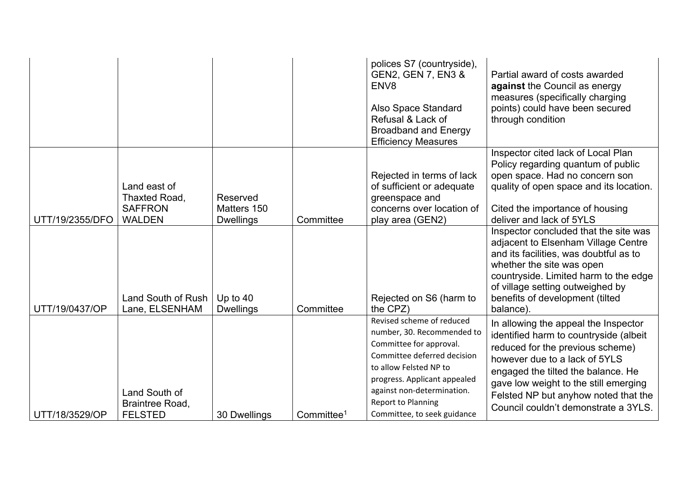|                 |                                                                  |                                             |                        | polices S7 (countryside),<br><b>GEN2, GEN 7, EN3 &amp;</b><br>ENV <sub>8</sub><br>Also Space Standard<br>Refusal & Lack of<br><b>Broadband and Energy</b><br><b>Efficiency Measures</b>                                                                               | Partial award of costs awarded<br>against the Council as energy<br>measures (specifically charging<br>points) could have been secured<br>through condition                                                                                                                                                         |
|-----------------|------------------------------------------------------------------|---------------------------------------------|------------------------|-----------------------------------------------------------------------------------------------------------------------------------------------------------------------------------------------------------------------------------------------------------------------|--------------------------------------------------------------------------------------------------------------------------------------------------------------------------------------------------------------------------------------------------------------------------------------------------------------------|
| UTT/19/2355/DFO | Land east of<br>Thaxted Road,<br><b>SAFFRON</b><br><b>WALDEN</b> | Reserved<br>Matters 150<br><b>Dwellings</b> | Committee              | Rejected in terms of lack<br>of sufficient or adequate<br>greenspace and<br>concerns over location of<br>play area (GEN2)                                                                                                                                             | Inspector cited lack of Local Plan<br>Policy regarding quantum of public<br>open space. Had no concern son<br>quality of open space and its location.<br>Cited the importance of housing<br>deliver and lack of 5YLS                                                                                               |
| UTT/19/0437/OP  | Land South of Rush<br>Lane, ELSENHAM                             | Up to $40$<br><b>Dwellings</b>              | Committee              | Rejected on S6 (harm to<br>the CPZ)                                                                                                                                                                                                                                   | Inspector concluded that the site was<br>adjacent to Elsenham Village Centre<br>and its facilities, was doubtful as to<br>whether the site was open<br>countryside. Limited harm to the edge<br>of village setting outweighed by<br>benefits of development (tilted<br>balance)                                    |
| UTT/18/3529/OP  | Land South of<br><b>Braintree Road,</b><br><b>FELSTED</b>        | 30 Dwellings                                | Committee <sup>1</sup> | Revised scheme of reduced<br>number, 30. Recommended to<br>Committee for approval.<br>Committee deferred decision<br>to allow Felsted NP to<br>progress. Applicant appealed<br>against non-determination.<br><b>Report to Planning</b><br>Committee, to seek guidance | In allowing the appeal the Inspector<br>identified harm to countryside (albeit<br>reduced for the previous scheme)<br>however due to a lack of 5YLS<br>engaged the tilted the balance. He<br>gave low weight to the still emerging<br>Felsted NP but anyhow noted that the<br>Council couldn't demonstrate a 3YLS. |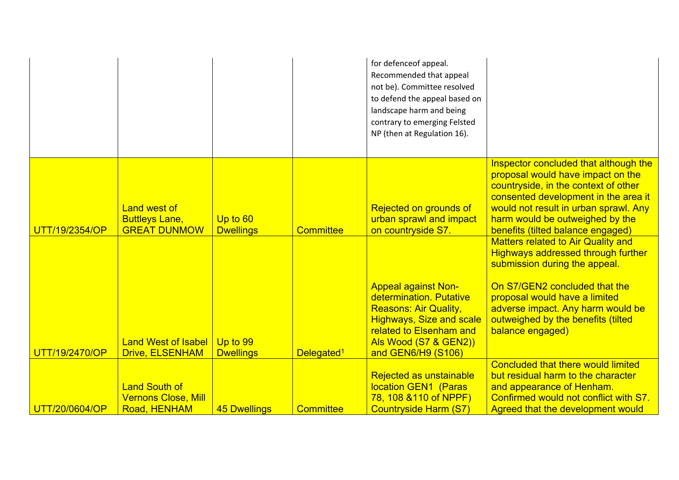|                                                                     |                                               |                                         | for defenceof appeal.<br>Recommended that appeal<br>not be). Committee resolved<br>to defend the appeal based on<br>landscape harm and being<br>contrary to emerging Felsted<br>NP (then at Regulation 16). |                                                                                                                                                                                                                                                                                                                          |
|---------------------------------------------------------------------|-----------------------------------------------|-----------------------------------------|-------------------------------------------------------------------------------------------------------------------------------------------------------------------------------------------------------------|--------------------------------------------------------------------------------------------------------------------------------------------------------------------------------------------------------------------------------------------------------------------------------------------------------------------------|
| <b>Land west of</b><br><b>Buttleys Lane,</b><br><b>GREAT DUNMOW</b> | Up to 60<br><b>Dwellings</b>                  | <b>Committee</b>                        | Rejected on grounds of<br>urban sprawl and impact<br>on countryside S7.                                                                                                                                     | Inspector concluded that although the<br>proposal would have impact on the<br>countryside, in the context of other<br>consented development in the area it<br>would not result in urban sprawl. Any<br>harm would be outweighed by the<br>benefits (tilted balance engaged)<br><b>Matters related to Air Quality and</b> |
| <b>Land West of Isabel</b>                                          | Up to 99                                      |                                         | <b>Appeal against Non-</b><br>determination, Putative<br><b>Reasons: Air Quality,</b><br><b>Highways, Size and scale</b><br>related to Elsenham and<br>Als Wood (S7 & GEN2))                                | <b>Highways addressed through further</b><br>submission during the appeal.<br>On S7/GEN2 concluded that the<br>proposal would have a limited<br>adverse impact. Any harm would be<br>outweighed by the benefits (tilted<br>balance engaged)                                                                              |
| <b>Land South of</b><br><b>Vernons Close, Mill</b>                  |                                               |                                         | <b>Rejected as unstainable</b><br>location GEN1 (Paras<br>78, 108 & 110 of NPPF)                                                                                                                            | <b>Concluded that there would limited</b><br>but residual harm to the character<br>and appearance of Henham.<br>Confirmed would not conflict with S7.<br>Agreed that the development would                                                                                                                               |
|                                                                     | <b>Drive, ELSENHAM</b><br><b>Road, HENHAM</b> | <b>Dwellings</b><br><b>45 Dwellings</b> | Delegated <sup>1</sup><br><b>Committee</b>                                                                                                                                                                  | and GEN6/H9 (S106)<br><b>Countryside Harm (S7)</b>                                                                                                                                                                                                                                                                       |